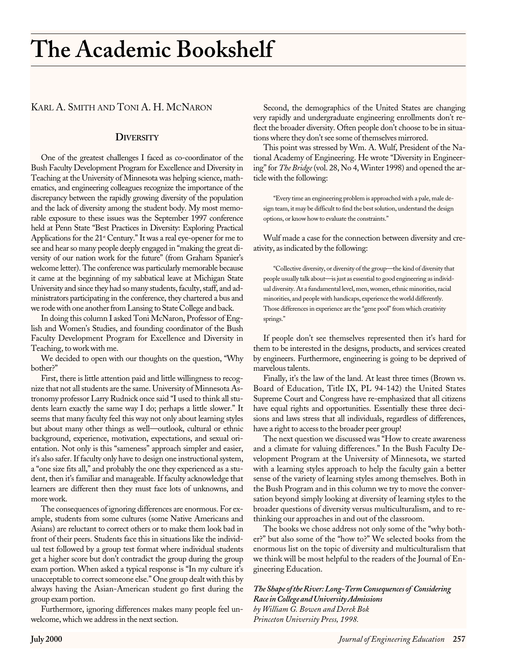# **The Academic Bookshelf**

KARL A. SMITH AND TONI A. H. MCNARON

# **DIVERSITY**

One of the greatest challenges I faced as co-coordinator of the Bush Faculty Development Program for Excellence and Diversity in Teaching at the University of Minnesota was helping science, mathematics, and engineering colleagues recognize the importance of the discrepancy between the rapidly growing diversity of the population and the lack of diversity among the student body. My most memorable exposure to these issues was the September 1997 conference held at Penn State "Best Practices in Diversity: Exploring Practical Applications for the 21<sup>st</sup> Century." It was a real eye-opener for me to see and hear so many people deeply engaged in "making the great diversity of our nation work for the future" (from Graham Spanier's welcome letter). The conference was particularly memorable because it came at the beginning of my sabbatical leave at Michigan State University and since they had so many students, faculty, staff, and administrators participating in the conference, they chartered a bus and we rode with one another from Lansing to State College and back.

In doing this column I asked Toni McNaron, Professor of English and Women's Studies, and founding coordinator of the Bush Faculty Development Program for Excellence and Diversity in Teaching, to work with me.

We decided to open with our thoughts on the question, "Why bother?"

First, there is little attention paid and little willingness to recognize that not all students are the same. University of Minnesota Astronomy professor Larry Rudnick once said "I used to think all students learn exactly the same way I do; perhaps a little slower." It seems that many faculty feel this way not only about learning styles but about many other things as well—outlook, cultural or ethnic background, experience, motivation, expectations, and sexual orientation. Not only is this "sameness" approach simpler and easier, it's also safer. If faculty only have to design one instructional system, a "one size fits all," and probably the one they experienced as a student, then it's familiar and manageable. If faculty acknowledge that learners are different then they must face lots of unknowns, and more work.

The consequences of ignoring differences are enormous. For example, students from some cultures (some Native Americans and Asians) are reluctant to correct others or to make them look bad in front of their peers. Students face this in situations like the individual test followed by a group test format where individual students get a higher score but don't contradict the group during the group exam portion. When asked a typical response is "In my culture it's unacceptable to correct someone else." One group dealt with this by always having the Asian-American student go first during the group exam portion.

Furthermore, ignoring differences makes many people feel unwelcome, which we address in the next section.

Second, the demographics of the United States are changing very rapidly and undergraduate engineering enrollments don't reflect the broader diversity. Often people don't choose to be in situations where they don't see some of themselves mirrored.

This point was stressed by Wm. A. Wulf, President of the National Academy of Engineering. He wrote "Diversity in Engineering" for *The Bridge*(vol. 28, No 4, Winter 1998) and opened the article with the following:

"Every time an engineering problem is approached with a pale, male design team, it may be difficult to find the best solution, understand the design options, or know how to evaluate the constraints."

Wulf made a case for the connection between diversity and creativity, as indicated by the following:

"Collective diversity, or diversity of the group—the kind of diversity that people usually talk about—is just as essential to good engineering as individual diversity. At a fundamental level, men, women, ethnic minorities, racial minorities, and people with handicaps, experience the world differently. Those differences in experience are the "gene pool" from which creativity springs."

If people don't see themselves represented then it's hard for them to be interested in the designs, products, and services created by engineers. Furthermore, engineering is going to be deprived of marvelous talents.

Finally, it's the law of the land. At least three times (Brown vs. Board of Education, Title IX, PL 94-142) the United States Supreme Court and Congress have re-emphasized that all citizens have equal rights and opportunities. Essentially these three decisions and laws stress that all individuals, regardless of differences, have a right to access to the broader peer group!

The next question we discussed was "How to create awareness and a climate for valuing differences." In the Bush Faculty Development Program at the University of Minnesota, we started with a learning styles approach to help the faculty gain a better sense of the variety of learning styles among themselves. Both in the Bush Program and in this column we try to move the conversation beyond simply looking at diversity of learning styles to the broader questions of diversity versus multiculturalism, and to rethinking our approaches in and out of the classroom.

The books we chose address not only some of the "why bother?" but also some of the "how to?" We selected books from the enormous list on the topic of diversity and multiculturalism that we think will be most helpful to the readers of the Journal of Engineering Education.

*The Shape of the River: Long-Term Consequences of Considering Race in College and University Admissions by William G. Bowen and Derek Bok Princeton University Press, 1998.*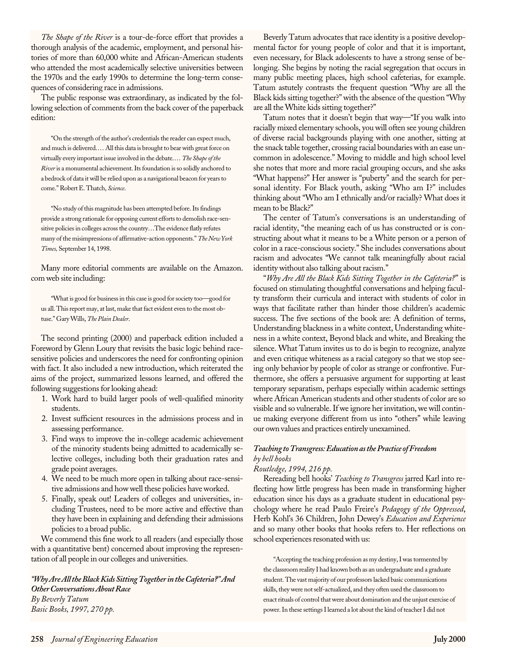*The Shape of the River* is a tour-de-force effort that provides a thorough analysis of the academic, employment, and personal histories of more than 60,000 white and African-American students who attended the most academically selective universities between the 1970s and the early 1990s to determine the long-term consequences of considering race in admissions.

The public response was extraordinary, as indicated by the following selection of comments from the back cover of the paperback edition:

"On the strength of the author's credentials the reader can expect much, and much is delivered.… All this data is brought to bear with great force on virtually every important issue involved in the debate.… *The Shape of the River*is a monumental achievement. Its foundation is so solidly anchored to a bedrock of data it will be relied upon as a navigational beacon for years to come." Robert E. Thatch, *Science*.

"No study of this magnitude has been attempted before. Its findings provide a strong rationale for opposing current efforts to demolish race-sensitive policies in colleges across the country…The evidence flatly refutes many of the misimpressions of affirmative-action opponents." *The New York Times,* September 14, 1998.

Many more editorial comments are available on the Amazon. com web site including:

"What is good for business in this case is good for society too—good for us all. This report may, at last, make that fact evident even to the most obtuse." Gary Wills, *The Plain Dealer*.

The second printing (2000) and paperback edition included a Foreword by Glenn Loury that revisits the basic logic behind racesensitive policies and underscores the need for confronting opinion with fact. It also included a new introduction, which reiterated the aims of the project, summarized lessons learned, and offered the following suggestions for looking ahead:

- 1. Work hard to build larger pools of well-qualified minority students.
- 2. Invest sufficient resources in the admissions process and in assessing performance.
- 3. Find ways to improve the in-college academic achievement of the minority students being admitted to academically selective colleges, including both their graduation rates and grade point averages.
- 4. We need to be much more open in talking about race-sensitive admissions and how well these policies have worked.
- 5. Finally, speak out! Leaders of colleges and universities, including Trustees, need to be more active and effective than they have been in explaining and defending their admissions policies to a broad public.

We commend this fine work to all readers (and especially those with a quantitative bent) concerned about improving the representation of all people in our colleges and universities.

*"Why Are All the Black Kids Sitting Together in the Cafeteria?" And Other Conversations About Race By Beverly Tatum Basic Books, 1997, 270 pp.*

Beverly Tatum advocates that race identity is a positive developmental factor for young people of color and that it is important, even necessary, for Black adolescents to have a strong sense of belonging. She begins by noting the racial segregation that occurs in many public meeting places, high school cafeterias, for example. Tatum astutely contrasts the frequent question "Why are all the Black kids sitting together?" with the absence of the question "Why are all the White kids sitting together?"

Tatum notes that it doesn't begin that way—"If you walk into racially mixed elementary schools, you will often see young children of diverse racial backgrounds playing with one another, sitting at the snack table together, crossing racial boundaries with an ease uncommon in adolescence." Moving to middle and high school level she notes that more and more racial grouping occurs, and she asks "What happens?" Her answer is "puberty" and the search for personal identity. For Black youth, asking "Who am I?" includes thinking about "Who am I ethnically and/or racially? What does it mean to be Black?"

The center of Tatum's conversations is an understanding of racial identity, "the meaning each of us has constructed or is constructing about what it means to be a White person or a person of color in a race-conscious society." She includes conversations about racism and advocates "We cannot talk meaningfully about racial identity without also talking about racism."

"*Why Are All the Black Kids Sitting Together in the Cafeteria?*" is focused on stimulating thoughtful conversations and helping faculty transform their curricula and interact with students of color in ways that facilitate rather than hinder those children's academic success. The five sections of the book are: A definition of terms, Understanding blackness in a white context, Understanding whiteness in a white context, Beyond black and white, and Breaking the silence. What Tatum invites us to do is begin to recognize, analyze and even critique whiteness as a racial category so that we stop seeing only behavior by people of color as strange or confrontive. Furthermore, she offers a persuasive argument for supporting at least temporary separatism, perhaps especially within academic settings where African American students and other students of color are so visible and so vulnerable. If we ignore her invitation, we will continue making everyone different from us into "others" while leaving our own values and practices entirely unexamined.

## *Teaching to Transgress: Education as the Practice of Freedom by bell hooks*

#### *Routledge, 1994, 216 pp.*

Rereading bell hooks' *Teaching to Transgress* jarred Karl into reflecting how little progress has been made in transforming higher education since his days as a graduate student in educational psychology where he read Paulo Freire's *Pedagogy of the Oppressed*, Herb Kohl's 36 Children, John Dewey's *Education and Experience* and so many other books that hooks refers to. Her reflections on school experiences resonated with us:

"Accepting the teaching profession as my destiny, I was tormented by the classroom reality I had known both as an undergraduate and a graduate student. The vast majority of our professors lacked basic communications skills, they were not self-actualized, and they often used the classroom to enact rituals of control that were about domination and the unjust exercise of power. In these settings I learned a lot about the kind of teacher I did not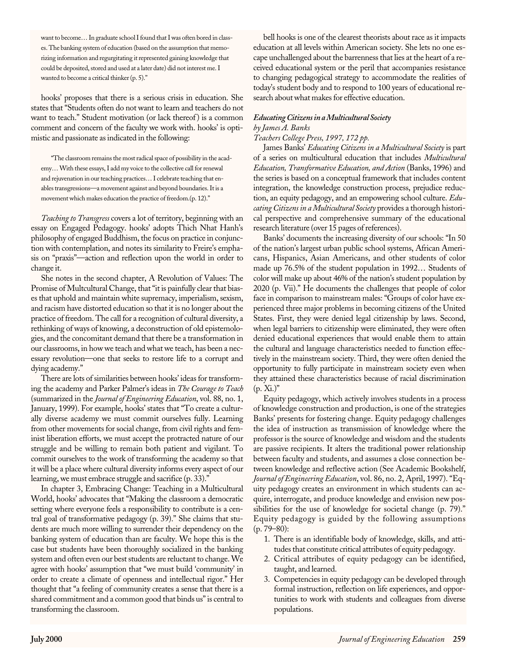want to become… In graduate school I found that I was often bored in classes. The banking system of education (based on the assumption that memorizing information and regurgitating it represented gaining knowledge that could be deposited, stored and used at a later date) did not interest me. I wanted to become a critical thinker (p. 5)."

hooks' proposes that there is a serious crisis in education. She states that "Students often do not want to learn and teachers do not want to teach." Student motivation (or lack thereof) is a common comment and concern of the faculty we work with. hooks' is optimistic and passionate as indicated in the following:

"The classroom remains the most radical space of possibility in the academy… With these essays, I add my voice to the collective call for renewal and rejuvenation in our teaching practices… I celebrate teaching that enables transgressions—a movement against and beyond boundaries. It is a movement which makes education the practice of freedom.(p. 12)."

*Teaching to Transgress* covers a lot of territory, beginning with an essay on Engaged Pedagogy. hooks' adopts Thich Nhat Hanh's philosophy of engaged Buddhism, the focus on practice in conjunction with contemplation, and notes its similarity to Freire's emphasis on "praxis"—action and reflection upon the world in order to change it.

She notes in the second chapter, A Revolution of Values: The Promise of Multcultural Change, that "it is painfully clear that biases that uphold and maintain white supremacy, imperialism, sexism, and racism have distorted education so that it is no longer about the practice of freedom. The call for a recognition of cultural diversity, a rethinking of ways of knowing, a deconstruction of old epistemologies, and the concomitant demand that there be a transformation in our classrooms, in how we teach and what we teach, has been a necessary revolution—one that seeks to restore life to a corrupt and dying academy."

There are lots of similarities between hooks' ideas for transforming the academy and Parker Palmer's ideas in *The Courage to Teach* (summarized in the *Journal of Engineering Education*, vol. 88, no. 1, January, 1999). For example, hooks' states that "To create a culturally diverse academy we must commit ourselves fully. Learning from other movements for social change, from civil rights and feminist liberation efforts, we must accept the protracted nature of our struggle and be willing to remain both patient and vigilant. To commit ourselves to the work of transforming the academy so that it will be a place where cultural diversity informs every aspect of our learning, we must embrace struggle and sacrifice (p. 33)."

In chapter 3, Embracing Change: Teaching in a Multicultural World, hooks' advocates that "Making the classroom a democratic setting where everyone feels a responsibility to contribute is a central goal of transformative pedagogy (p. 39)." She claims that students are much more willing to surrender their dependency on the banking system of education than are faculty. We hope this is the case but students have been thoroughly socialized in the banking system and often even our best students are reluctant to change. We agree with hooks' assumption that "we must build 'community' in order to create a climate of openness and intellectual rigor." Her thought that "a feeling of community creates a sense that there is a shared commitment and a common good that binds us" is central to transforming the classroom.

bell hooks is one of the clearest theorists about race as it impacts education at all levels within American society. She lets no one escape unchallenged about the barrenness that lies at the heart of a received educational system or the peril that accompanies resistance to changing pedagogical strategy to accommodate the realities of today's student body and to respond to 100 years of educational research about what makes for effective education.

# *Educating Citizens in a Multicultural Society by James A. Banks*

*Teachers College Press, 1997, 172 pp.*

James Banks' *Educating Citizens in a Multicultural Society* is part of a series on multicultural education that includes *Multicultural Education, Transformative Education, and Action* (Banks, 1996) and the series is based on a conceptual framework that includes content integration, the knowledge construction process, prejudice reduction, an equity pedagogy, and an empowering school culture. *Educating Citizens in a Multicultural Society* provides a thorough historical perspective and comprehensive summary of the educational research literature (over 15 pages of references).

Banks' documents the increasing diversity of our schools: "In 50 of the nation's largest urban public school systems, African Americans, Hispanics, Asian Americans, and other students of color made up 76.5% of the student population in 1992… Students of color will make up about 46% of the nation's student population by 2020 (p. Vii)." He documents the challenges that people of color face in comparison to mainstream males: "Groups of color have experienced three major problems in becoming citizens of the United States. First, they were denied legal citizenship by laws. Second, when legal barriers to citizenship were eliminated, they were often denied educational experiences that would enable them to attain the cultural and language characteristics needed to function effectively in the mainstream society. Third, they were often denied the opportunity to fully participate in mainstream society even when they attained these characteristics because of racial discrimination (p. Xi.)"

Equity pedagogy, which actively involves students in a process of knowledge construction and production, is one of the strategies Banks' presents for fostering change. Equity pedagogy challenges the idea of instruction as transmission of knowledge where the professor is the source of knowledge and wisdom and the students are passive recipients. It alters the traditional power relationship between faculty and students, and assumes a close connection between knowledge and reflective action (See Academic Bookshelf, *Journal of Engineering Education*, vol. 86, no. 2, April, 1997). "Equity pedagogy creates an environment in which students can acquire, interrogate, and produce knowledge and envision new possibilities for the use of knowledge for societal change (p. 79)." Equity pedagogy is guided by the following assumptions (p. 79–80):

- 1. There is an identifiable body of knowledge, skills, and attitudes that constitute critical attributes of equity pedagogy.
- 2. Critical attributes of equity pedagogy can be identified, taught, and learned.
- 3. Competencies in equity pedagogy can be developed through formal instruction, reflection on life experiences, and opportunities to work with students and colleagues from diverse populations.